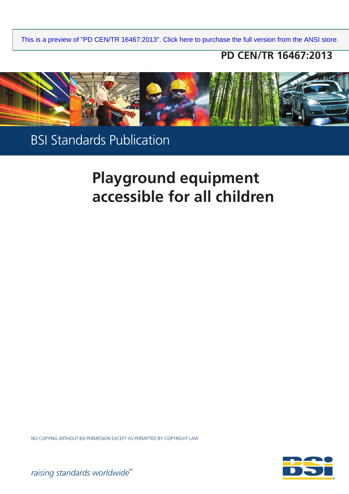## **PD CEN/TR 16467:2013**



BSI Standards Publication

# **Playground equipment accessible for all children**

NO COPYING WITHOUT BSI PERMISSION EXCEPT AS PERMITTED BY COPYRIGHT LAW



*raising standards worldwide™*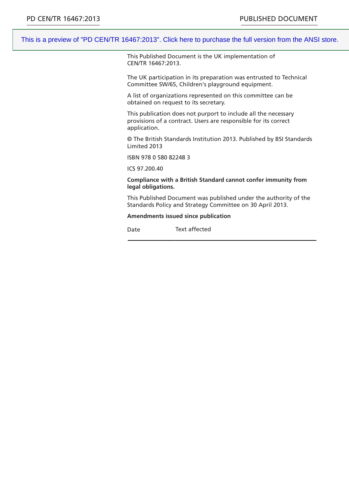This Published Document is the UK implementation of CEN/TR 16467:2013.

The UK participation in its preparation was entrusted to Technical Committee SW/65, Children's playground equipment.

A list of organizations represented on this committee can be obtained on request to its secretary.

This publication does not purport to include all the necessary provisions of a contract. Users are responsible for its correct application.

© The British Standards Institution 2013. Published by BSI Standards Limited 2013

ISBN 978 0 580 82248 3

ICS 97.200.40

**Compliance with a British Standard cannot confer immunity from legal obligations.**

This Published Document was published under the authority of the Standards Policy and Strategy Committee on 30 April 2013.

#### **Amendments issued since publication**

Date Text affected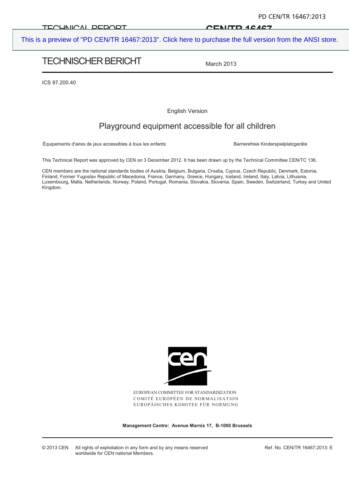#### TECHNICAL DEDODT

#### **CEN/TR 16467**

[This is a preview of "PD CEN/TR 16467:2013". Click here to purchase the full version from the ANSI store.](https://webstore.ansi.org/Standards/BSI/PDCENTR164672013?source=preview)

## TECHNISCHER BERICHT

March 2013

ICS 97.200.40

English Version

## Playground equipment accessible for all children

Équipements d'aires de jeux accessibles à tous les enfants **Barrierefreie Kinderspielplatzgeräte** 

This Technical Report was approved by CEN on 3 December 2012. It has been drawn up by the Technical Committee CEN/TC 136.

CEN members are the national standards bodies of Austria, Belgium, Bulgaria, Croatia, Cyprus, Czech Republic, Denmark, Estonia, Finland, Former Yugoslav Republic of Macedonia, France, Germany, Greece, Hungary, Iceland, Ireland, Italy, Latvia, Lithuania, Luxembourg, Malta, Netherlands, Norway, Poland, Portugal, Romania, Slovakia, Slovenia, Spain, Sweden, Switzerland, Turkey and United Kingdom.



EUROPEAN COMMITTEE FOR STANDARDIZATION COMITÉ EUROPÉEN DE NORMALISATION EUROPÄISCHES KOMITEE FÜR NORMUNG

**Management Centre: Avenue Marnix 17, B-1000 Brussels** 

© 2013 CEN All rights of exploitation in any form and by any means reserved worldwide for CEN national Members.

Ref. No. CEN/TR 16467:2013: E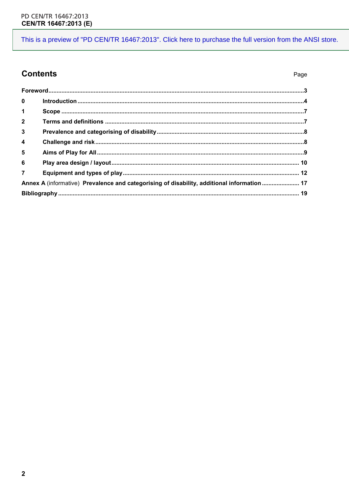Page

## **Contents**

| $\bf{0}$                                                                                   |  |  |
|--------------------------------------------------------------------------------------------|--|--|
| 1                                                                                          |  |  |
| $\mathbf{2}$                                                                               |  |  |
| $\mathbf{3}$                                                                               |  |  |
| $\overline{\mathbf{4}}$                                                                    |  |  |
| 5                                                                                          |  |  |
| 6                                                                                          |  |  |
| $\overline{7}$                                                                             |  |  |
| Annex A (informative) Prevalence and categorising of disability, additional information 17 |  |  |
|                                                                                            |  |  |
|                                                                                            |  |  |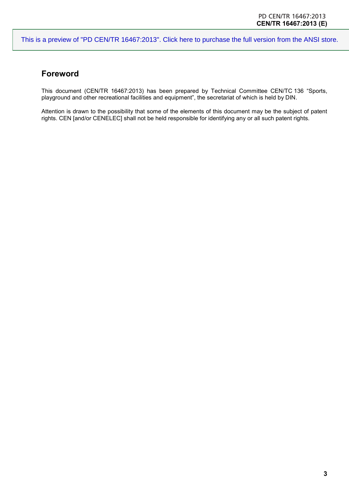## **Foreword**

This document (CEN/TR 16467:2013) has been prepared by Technical Committee CEN/TC 136 "Sports, playground and other recreational facilities and equipment", the secretariat of which is held by DIN.

Attention is drawn to the possibility that some of the elements of this document may be the subject of patent rights. CEN [and/or CENELEC] shall not be held responsible for identifying any or all such patent rights.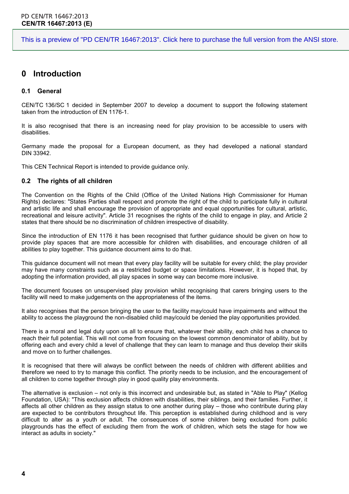## **0 Introduction**

#### **0.1 General**

CEN/TC 136/SC 1 decided in September 2007 to develop a document to support the following statement taken from the introduction of EN 1176-1.

It is also recognised that there is an increasing need for play provision to be accessible to users with disabilities.

Germany made the proposal for a European document, as they had developed a national standard DIN 33942.

This CEN Technical Report is intended to provide guidance only.

#### **0.2 The rights of all children**

The Convention on the Rights of the Child (Office of the United Nations High Commissioner for Human Rights) declares: "States Parties shall respect and promote the right of the child to participate fully in cultural and artistic life and shall encourage the provision of appropriate and equal opportunities for cultural, artistic, recreational and leisure activity". Article 31 recognises the rights of the child to engage in play, and Article 2 states that there should be no discrimination of children irrespective of disability.

Since the introduction of EN 1176 it has been recognised that further guidance should be given on how to provide play spaces that are more accessible for children with disabilities, and encourage children of all abilities to play together. This guidance document aims to do that.

This guidance document will not mean that every play facility will be suitable for every child; the play provider may have many constraints such as a restricted budget or space limitations. However, it is hoped that, by adopting the information provided, all play spaces in some way can become more inclusive.

The document focuses on unsupervised play provision whilst recognising that carers bringing users to the facility will need to make judgements on the appropriateness of the items.

It also recognises that the person bringing the user to the facility may/could have impairments and without the ability to access the playground the non-disabled child may/could be denied the play opportunities provided.

There is a moral and legal duty upon us all to ensure that, whatever their ability, each child has a chance to reach their full potential. This will not come from focusing on the lowest common denominator of ability, but by offering each and every child a level of challenge that they can learn to manage and thus develop their skills and move on to further challenges.

It is recognised that there will always be conflict between the needs of children with different abilities and therefore we need to try to manage this conflict. The priority needs to be inclusion, and the encouragement of all children to come together through play in good quality play environments.

The alternative is exclusion – not only is this incorrect and undesirable but, as stated in "Able to Play" (Kellog Foundation, USA): "This exclusion affects children with disabilities, their siblings, and their families. Further, it affects all other children as they assign status to one another during play – those who contribute during play are expected to be contributors throughout life. This perception is established during childhood and is very difficult to alter as a youth or adult. The consequences of some children being excluded from public playgrounds has the effect of excluding them from the work of children, which sets the stage for how we interact as adults in society."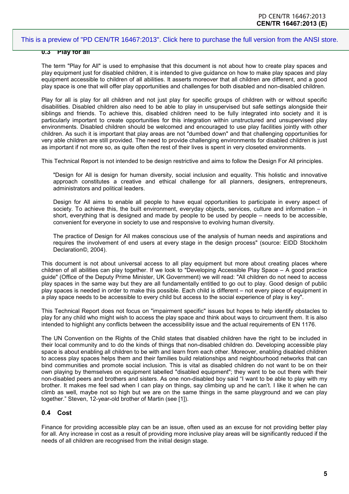#### **0.3 Play for all**

The term "Play for All" is used to emphasise that this document is not about how to create play spaces and play equipment just for disabled children, it is intended to give guidance on how to make play spaces and play equipment accessible to children of all abilities. It asserts moreover that all children are different, and a good play space is one that will offer play opportunities and challenges for both disabled and non-disabled children.

Play for all is play for all children and not just play for specific groups of children with or without specific disabilities. Disabled children also need to be able to play in unsupervised but safe settings alongside their siblings and friends. To achieve this, disabled children need to be fully integrated into society and it is particularly important to create opportunities for this integration within unstructured and unsupervised play environments. Disabled children should be welcomed and encouraged to use play facilities jointly with other children. As such it is important that play areas are not "dumbed down" and that challenging opportunities for very able children are still provided. The need to provide challenging environments for disabled children is just as important if not more so, as quite often the rest of their lives is spent in very closeted environments.

This Technical Report is not intended to be design restrictive and aims to follow the Design For All principles.

"Design for All is design for human diversity, social inclusion and equality. This holistic and innovative approach constitutes a creative and ethical challenge for all planners, designers, entrepreneurs, administrators and political leaders.

Design for All aims to enable all people to have equal opportunities to participate in every aspect of society. To achieve this, the built environment, everyday objects, services, culture and information – in short, everything that is designed and made by people to be used by people – needs to be accessible. convenient for everyone in society to use and responsive to evolving human diversity.

The practice of Design for All makes conscious use of the analysis of human needs and aspirations and requires the involvement of end users at every stage in the design process" (source: EIDD Stockholm Declaration©, 2004).

This document is not about universal access to all play equipment but more about creating places where children of all abilities can play together. If we look to "Developing Accessible Play Space – A good practice guide" (Office of the Deputy Prime Minister, UK Government) we will read: "All children do not need to access play spaces in the same way but they are all fundamentally entitled to go out to play. Good design of public play spaces is needed in order to make this possible. Each child is different – not every piece of equipment in a play space needs to be accessible to every child but access to the social experience of play is key".

This Technical Report does not focus on "impairment specific" issues but hopes to help identify obstacles to play for any child who might wish to access the play space and think about ways to circumvent them. It is also intended to highlight any conflicts between the accessibility issue and the actual requirements of EN 1176.

The UN Convention on the Rights of the Child states that disabled children have the right to be included in their local community and to do the kinds of things that non-disabled children do. Developing accessible play space is about enabling all children to be with and learn from each other. Moreover, enabling disabled children to access play spaces helps them and their families build relationships and neighbourhood networks that can bind communities and promote social inclusion. This is vital as disabled children do not want to be on their own playing by themselves on equipment labelled "disabled equipment"; they want to be out there with their non-disabled peers and brothers and sisters. As one non-disabled boy said "I want to be able to play with my brother. It makes me feel sad when I can play on things, say climbing up and he can't. I like it when he can climb as well, maybe not so high but we are on the same things in the same playground and we can play together." Steven, 12-year-old brother of Martin (see [\[1\]\)](#page--1-0).

#### **0.4 Cost**

Finance for providing accessible play can be an issue, often used as an excuse for not providing better play for all. Any increase in cost as a result of providing more inclusive play areas will be significantly reduced if the needs of all children are recognised from the initial design stage.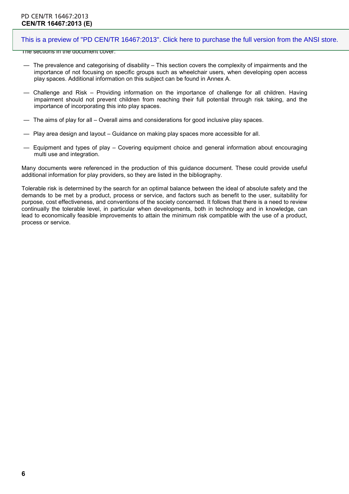#### PD CEN/TR 16467:2013 **CEN/TR 16467:2013 (E)**

#### [This is a preview of "PD CEN/TR 16467:2013". Click here to purchase the full version from the ANSI store.](https://webstore.ansi.org/Standards/BSI/PDCENTR164672013?source=preview)

The sections in the document cover:

- The prevalence and categorising of disability This section covers the complexity of impairments and the importance of not focusing on specific groups such as wheelchair users, when developing open access play spaces. Additional information on this subject can be found in Annex A.
- Challenge and Risk Providing information on the importance of challenge for all children. Having impairment should not prevent children from reaching their full potential through risk taking, and the importance of incorporating this into play spaces.
- The aims of play for all Overall aims and considerations for good inclusive play spaces.
- Play area design and layout Guidance on making play spaces more accessible for all.
- Equipment and types of play Covering equipment choice and general information about encouraging multi use and integration.

Many documents were referenced in the production of this guidance document. These could provide useful additional information for play providers, so they are listed in the bibliography.

Tolerable risk is determined by the search for an optimal balance between the ideal of absolute safety and the demands to be met by a product, process or service, and factors such as benefit to the user, suitability for purpose, cost effectiveness, and conventions of the society concerned. It follows that there is a need to review continually the tolerable level, in particular when developments, both in technology and in knowledge, can lead to economically feasible improvements to attain the minimum risk compatible with the use of a product, process or service.